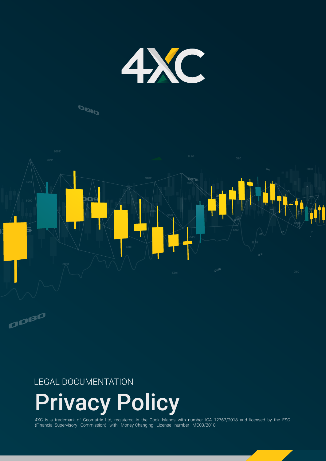

## **DBID**



### LEGAL DOCUMENTATION

ODBO

# Privacy Policy

4XC is a trademark of Geomatrix Ltd, registered in the Cook Islands with number ICA 12767/2018 and licensed by the FSC (Financial Supervisory Commission) with Money-Changing License number MC03/2018.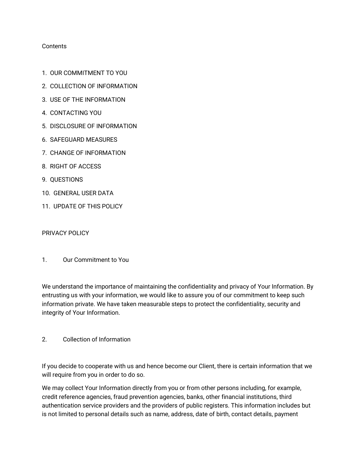#### **Contents**

- 1. OUR COMMITMENT TO YOU
- 2. COLLECTION OF INFORMATION
- 3. USE OF THE INFORMATION
- 4. CONTACTING YOU
- 5. DISCLOSURE OF INFORMATION
- 6. SAFEGUARD MEASURES
- 7. CHANGE OF INFORMATION
- 8. RIGHT OF ACCESS
- 9. QUESTIONS
- 10. GENERAL USER DATA
- 11. UPDATE OF THIS POLICY

PRIVACY POLICY

1. Our Commitment to You

We understand the importance of maintaining the confidentiality and privacy of Your Information. By entrusting us with your information, we would like to assure you of our commitment to keep such information private. We have taken measurable steps to protect the confidentiality, security and integrity of Your Information.

2. Collection of Information

If you decide to cooperate with us and hence become our Client, there is certain information that we will require from you in order to do so.

We may collect Your Information directly from you or from other persons including, for example, credit reference agencies, fraud prevention agencies, banks, other financial institutions, third authentication service providers and the providers of public registers. This information includes but is not limited to personal details such as name, address, date of birth, contact details, payment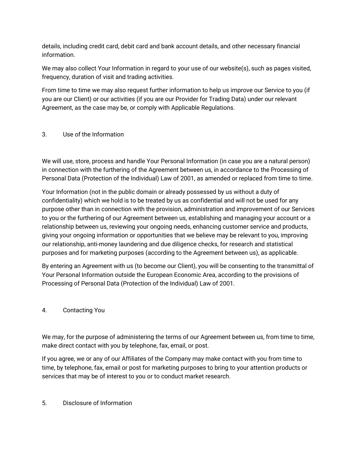details, including credit card, debit card and bank account details, and other necessary financial information.

We may also collect Your Information in regard to your use of our website(s), such as pages visited, frequency, duration of visit and trading activities.

From time to time we may also request further information to help us improve our Service to you (if you are our Client) or our activities (if you are our Provider for Trading Data) under our relevant Agreement, as the case may be, or comply with Applicable Regulations.

#### 3. Use of the Information

We will use, store, process and handle Your Personal Information (in case you are a natural person) in connection with the furthering of the Agreement between us, in accordance to the Processing of Personal Data (Protection of the Individual) Law of 2001, as amended or replaced from time to time.

Your Information (not in the public domain or already possessed by us without a duty of confidentiality) which we hold is to be treated by us as confidential and will not be used for any purpose other than in connection with the provision, administration and improvement of our Services to you or the furthering of our Agreement between us, establishing and managing your account or a relationship between us, reviewing your ongoing needs, enhancing customer service and products, giving your ongoing information or opportunities that we believe may be relevant to you, improving our relationship, anti-money laundering and due diligence checks, for research and statistical purposes and for marketing purposes (according to the Agreement between us), as applicable.

By entering an Agreement with us (to become our Client), you will be consenting to the transmittal of Your Personal Information outside the European Economic Area, according to the provisions of Processing of Personal Data (Protection of the Individual) Law of 2001.

#### 4. Contacting You

We may, for the purpose of administering the terms of our Agreement between us, from time to time, make direct contact with you by telephone, fax, email, or post.

If you agree, we or any of our Affiliates of the Company may make contact with you from time to time, by telephone, fax, email or post for marketing purposes to bring to your attention products or services that may be of interest to you or to conduct market research.

#### 5. Disclosure of Information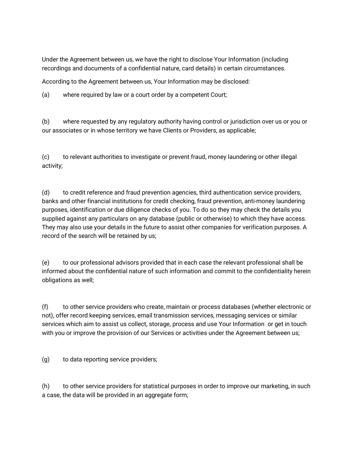Under the Agreement between us, we have the right to disclose Your Information (including recordings and documents of a confidential nature, card details) in certain circumstances.

According to the Agreement between us, Your Information may be disclosed:

(a) where required by law or a court order by a competent Court;

(b) where requested by any regulatory authority having control or jurisdiction over us or you or our associates or in whose territory we have Clients or Providers, as applicable;

(c) to relevant authorities to investigate or prevent fraud, money laundering or other illegal activity;

(d) to credit reference and fraud prevention agencies, third authentication service providers, banks and other financial institutions for credit checking, fraud prevention, anti-money laundering purposes, identification or due diligence checks of you. To do so they may check the details you supplied against any particulars on any database (public or otherwise) to which they have access. They may also use your details in the future to assist other companies for verification purposes. A record of the search will be retained by us;

(e) to our professional advisors provided that in each case the relevant professional shall be informed about the confidential nature of such information and commit to the confidentiality herein obligations as well;

(f) to other service providers who create, maintain or process databases (whether electronic or not), offer record keeping services, email transmission services, messaging services or similar services which aim to assist us collect, storage, process and use Your Information or get in touch with you or improve the provision of our Services or activities under the Agreement between us;

(g) to data reporting service providers;

(h) to other service providers for statistical purposes in order to improve our marketing, in such a case, the data will be provided in an aggregate form;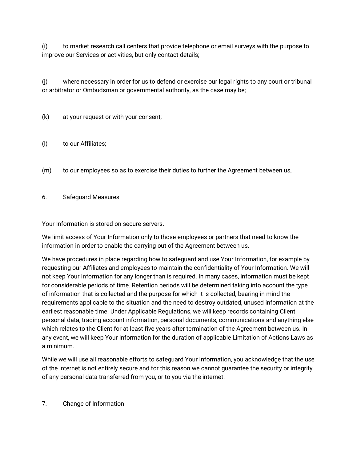(i) to market research call centers that provide telephone or email surveys with the purpose to improve our Services or activities, but only contact details;

(j) where necessary in order for us to defend or exercise our legal rights to any court or tribunal or arbitrator or Ombudsman or governmental authority, as the case may be;

(k) at your request or with your consent;

- (l) to our Affiliates;
- (m) to our employees so as to exercise their duties to further the Agreement between us,
- 6. Safeguard Measures

Your Information is stored on secure servers.

We limit access of Your Information only to those employees or partners that need to know the information in order to enable the carrying out of the Agreement between us.

We have procedures in place regarding how to safeguard and use Your Information, for example by requesting our Affiliates and employees to maintain the confidentiality of Your Information. We will not keep Your Information for any longer than is required. In many cases, information must be kept for considerable periods of time. Retention periods will be determined taking into account the type of information that is collected and the purpose for which it is collected, bearing in mind the requirements applicable to the situation and the need to destroy outdated, unused information at the earliest reasonable time. Under Applicable Regulations, we will keep records containing Client personal data, trading account information, personal documents, communications and anything else which relates to the Client for at least five years after termination of the Agreement between us. In any event, we will keep Your Information for the duration of applicable Limitation of Actions Laws as a minimum.

While we will use all reasonable efforts to safeguard Your Information, you acknowledge that the use of the internet is not entirely secure and for this reason we cannot guarantee the security or integrity of any personal data transferred from you, or to you via the internet.

7. Change of Information